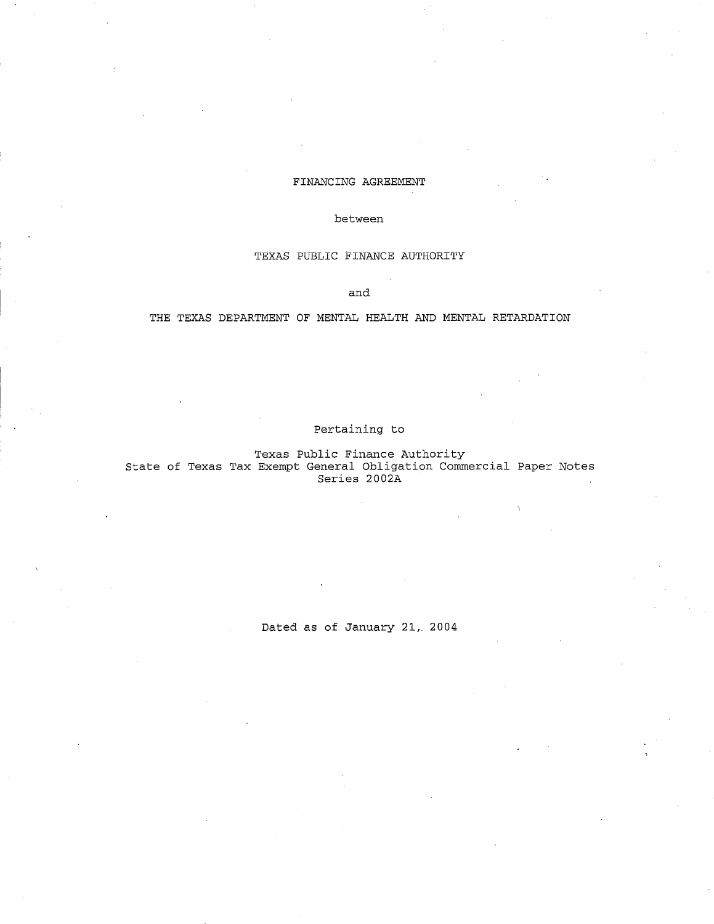### FINANCING AGREEMENT

### between

### TEXAS PUBLIC FINANCE AUTHORITY

and

# THE TEXAS DEPARTMENT OF MENTAL HEALTH AND MENTAL RETARDATION

# Pertaining to

Texas Public Finance Authority State of Texas Tax Exempt General Obligation Commercial Paper Notes Series 2002A

Dated as of January 21, 2004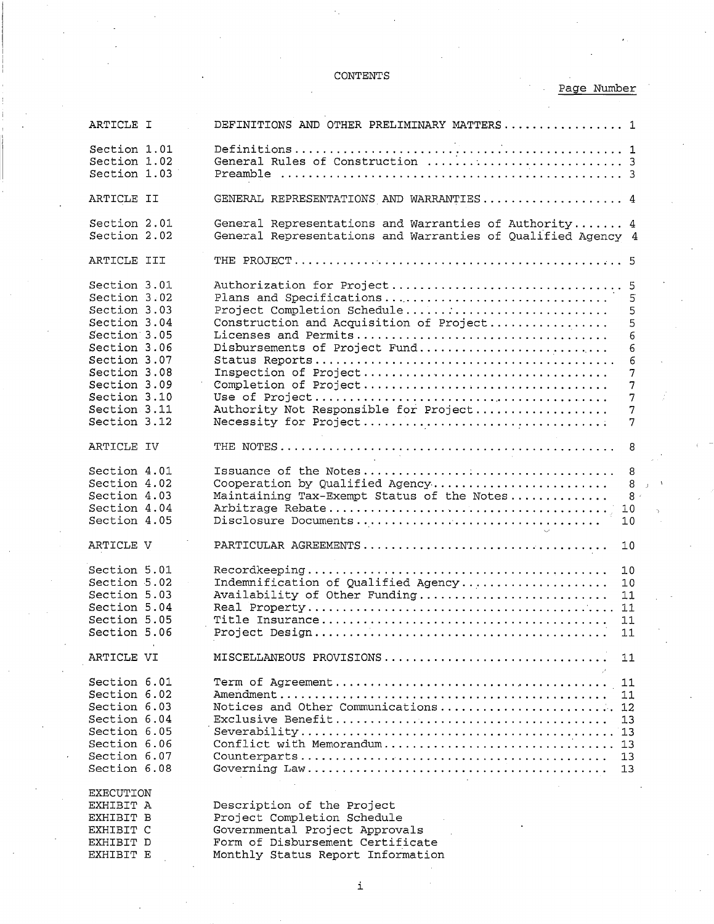# CONTENTS

# Page Number

| ARTICLE I                                                                                                                                                                    | DEFINITIONS AND OTHER PRELIMINARY MATTERS 1                                                                                                                                                                                                                                               |
|------------------------------------------------------------------------------------------------------------------------------------------------------------------------------|-------------------------------------------------------------------------------------------------------------------------------------------------------------------------------------------------------------------------------------------------------------------------------------------|
| Section 1.01<br>Section 1.02<br>Section 1.03                                                                                                                                 |                                                                                                                                                                                                                                                                                           |
| ARTICLE II                                                                                                                                                                   | GENERAL REPRESENTATIONS AND WARRANTIES 4                                                                                                                                                                                                                                                  |
| Section 2.01<br>Section 2.02                                                                                                                                                 | General Representations and Warranties of Authority 4<br>General Representations and Warranties of Qualified Agency 4                                                                                                                                                                     |
| ARTICLE III                                                                                                                                                                  |                                                                                                                                                                                                                                                                                           |
| Section 3.01<br>Section 3.02<br>Section 3.03<br>Section 3.04<br>Section 3.05<br>Section 3.06<br>Section 3.07<br>Section 3.08<br>Section 3.09<br>Section 3.10<br>Section 3.11 | Authorization for Project<br>5<br>Plans and Specifications<br>5<br>Project Completion Schedule<br>5<br>Construction and Acquisition of Project<br>5<br>6<br>Disbursements of Project Fund<br>6<br>6<br>Inspection of Project<br>7<br>7<br>7<br>Authority Not Responsible for Project<br>7 |
| Section 3.12                                                                                                                                                                 | Necessity for Project<br>7                                                                                                                                                                                                                                                                |
| ARTICLE IV                                                                                                                                                                   | 8                                                                                                                                                                                                                                                                                         |
| Section 4.01<br>Section 4.02<br>Section 4.03<br>Section 4.04<br>Section 4.05                                                                                                 | 8<br>Cooperation by Qualified Agency<br>8<br>Maintaining Tax-Exempt Status of the Notes<br>8 <sup>2</sup><br>10<br>Disclosure Documents<br>10                                                                                                                                             |
| ARTICLE V                                                                                                                                                                    | 10                                                                                                                                                                                                                                                                                        |
| Section 5.01<br>Section 5.02<br>Section 5.03<br>Section 5.04<br>Section 5.05<br>Section 5.06                                                                                 | 10<br>Indemnification of Qualified Agency<br>10<br>Availability of Other Funding<br>11<br>11<br>11<br>11                                                                                                                                                                                  |
| ARTICLE VI                                                                                                                                                                   | MISCELLANEOUS PROVISIONS<br>11                                                                                                                                                                                                                                                            |
| Section 6.01<br>Section 6.02<br>Section 6.03<br>Section 6.04<br>Section 6.05<br>Section 6.06<br>Section 6.07<br>Section 6.08                                                 | 11<br>11<br>Notices and Other Communications<br>12<br>13<br>Conflict with Memorandum<br>13<br>13<br>13                                                                                                                                                                                    |
| <b>EXECUTION</b><br>EXHIBIT A<br>EXHIBIT B<br>EXHIBIT C<br>EXHIBIT D<br>EXHIBIT E                                                                                            | Description of the Project<br>Project Completion Schedule<br>Governmental Project Approvals<br>Form of Disbursement Certificate<br>Monthly Status Report Information                                                                                                                      |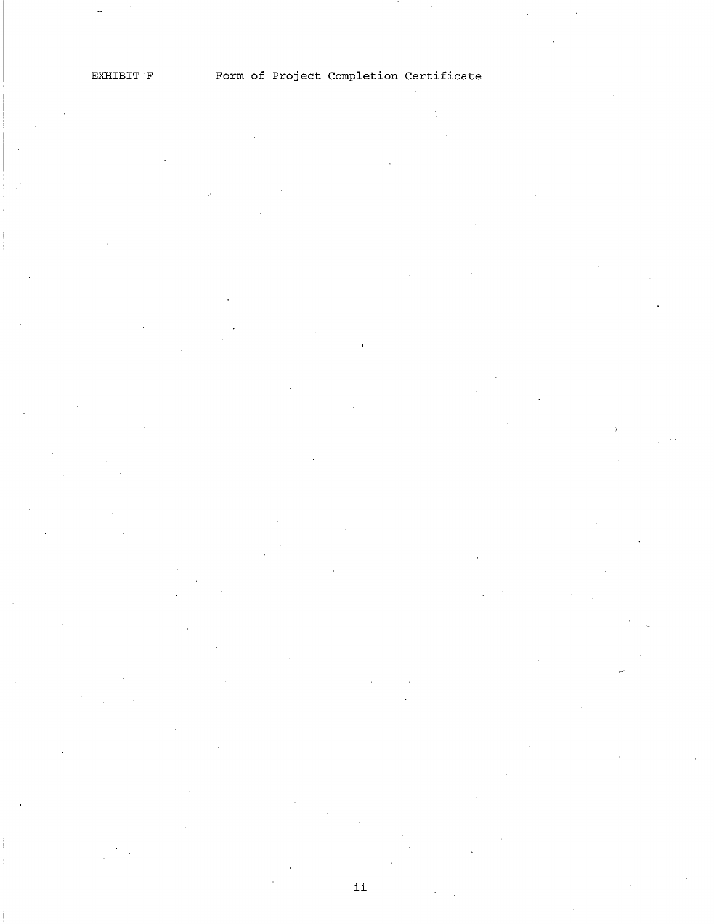ii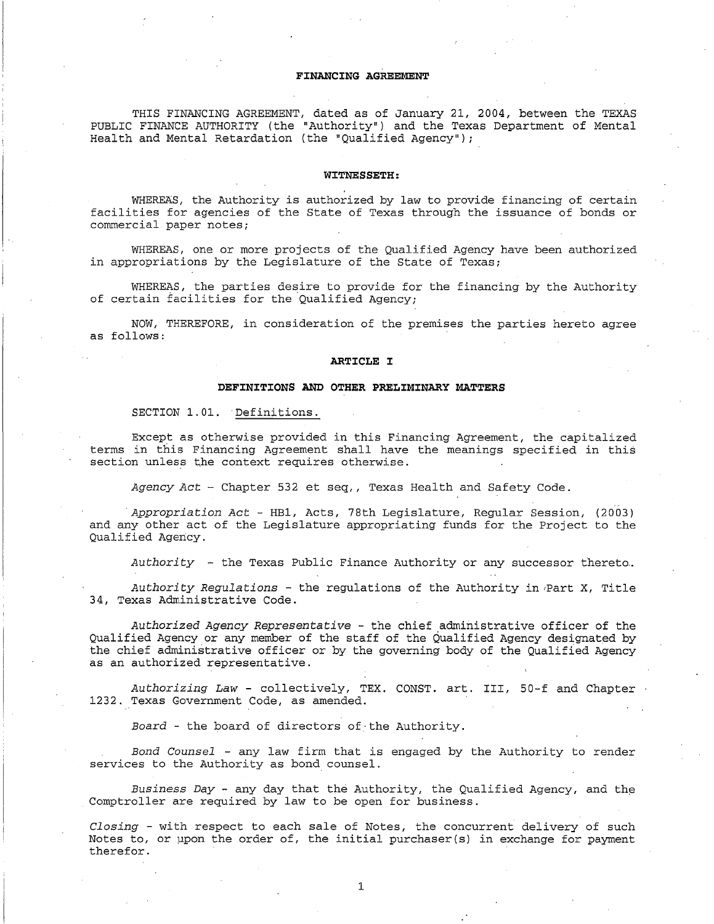# **FINANCING AGREEMENT**

THIS FINANCING AGREEMENT, dated as of January 21, 2004, between the TEXAS PUBLIC FINANCE AUTHORITY (the "Authority") and the Texas Department of Mental Health and Mental Retardation (the "Qualified Agency");

#### **WITNESSETH:**

WHEREAS, the Authority is authorized by law to provide financing of certain facilities for agencies of the State of Texas through the issuance of bonds or commercial paper notes;

WHEREAS, one or more projects of the Qualified Agency have been authorized in appropriations by the Legislature of the State of Texas;

WHEREAS, the parties desire to provide for the financing by the Authority of certain facilities for the Qualified Agency;

NOW, THEREFORE, in consideration of the premises the parties hereto agree as follows:

#### **ARTICLE I**

### **DEFINITIONS AND OTHER PRELIMINARY MATTERS**

#### SECTION 1.01. Definitions.

Except as otherwise provided in this Financing Agreement, the capitalized terms in this Financing Agreement shall have the meanings specified in this section unless the context requires otherwise.

*Agency Act-* Chapter 532 et seq,, Texas Health and Safety Code.

,, *Appropriation Act* - HB1, Acts, 78th Legislature, Regular Session, (2003) and any other act of the Legislature appropriating funds for the Project to the Qualified Agency.

*Authority* - the Texas Public Finance Authority or any successor thereto ..

Authority Regulations - the regulations of the Authority in Part X, Title 34, Texas Administrative Code.

*Authorized Agency Representative* - the chief administrative officer of the Qualified Agency or any member of the staff of the Qualified Agency designated by the chief administrative officer or by the governing body of the Qualified Agency as an authorized representative.

*Authorizing Law* - collectively, TEX. CONST. art. III, 50-f and Chapter 1232. Texas Government Code, as amended.

*Board* - the board of directors of·the Authority.

*Bond Counsel* - any law firm that is engaged by the Authority to render services to the Authority as bond counsel.

*Business Day -* any day that the Authority, the Qualified Agency, and the Comptroller are required by law to be open for business.

*Closing* - with respect to each sale of Notes, the concurrent delivery of such Notes to, or upon the order of, the initial purchaser(s) in exchange for payment therefor.

1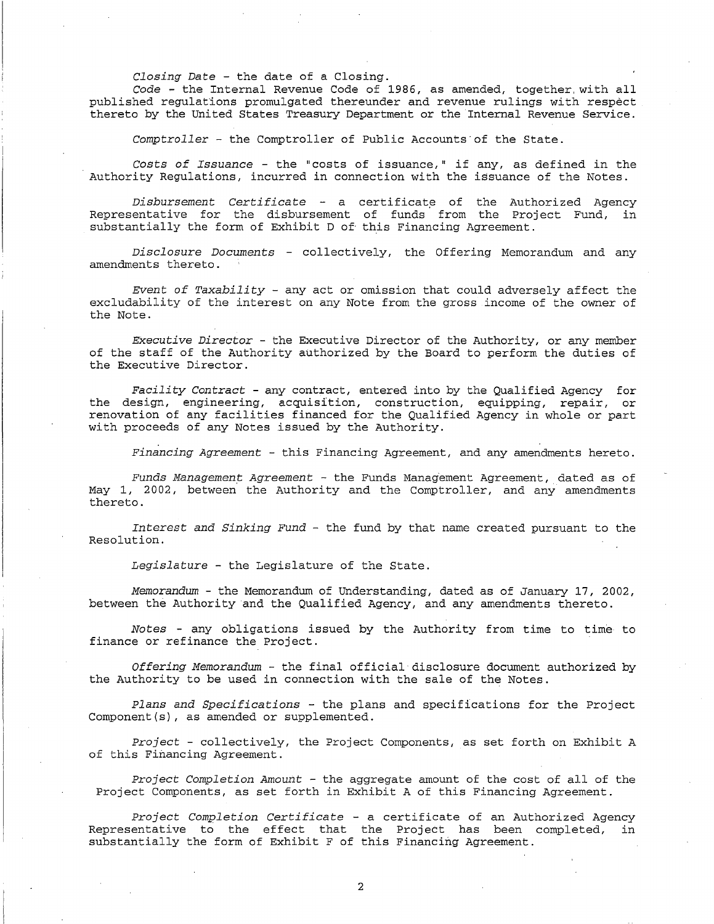*Closing Date* - the date of a Closing.

Code - the Internal Revenue Code of 1986, as amended, together, with all published regulations promulgated thereunder and revenue rulings with respect thereto by the United States Treasury Department or the Internal Revenue Service.

*Comptroller* - the Comptroller of Public Accounts·of the State.

*Costs of Issuance-* the "costs of issuance," if any, as defined in the Authority Regulations, incurred in connection with the issuance of the Notes.

*Disbursement Certificate -* a certificate of the Authorized Agency Representative for the disbursement of funds from the Project Fund, in substantially the form of Exhibit D of this Financing Agreement.

*Disclosure Documents* - collectively, the Offering Memorandum and any amendments thereto.

*Event of Taxability* - any act or omission that could adversely affect the excludability of the interest on any Note from the gross income of the owner of the Note.

*Executive Director* - the Executive Director of the Authority, or any member of the staff of the Authority authorized by the Board to perform the duties of the Executive Director.

*Facility Contract* - any contract, entered into by the Qualified Agency for the design, engineering, acquisition, construction, equipping, repair, or renovation of any facilities financed for the Qualified Agency in whole or part with proceeds of any Notes issued by the Authority.

*Financing Agreement* - this Financing Agreement, and any amendments hereto.

*Funds Management Agreement* - the Funds Management Agreement, dated as of May 1, 2002, between the Authority and the Comptroller, and any amendments thereto.

*Interest and Sinking Fund* - the fund by that name created pursuant to the Resolution.

*Legislature* - the Legislature of the State.

*Memorandum-* the Memorandum of Understanding, dated as of January 17, 2002, between the Authority and the Qualified Agency, and any amendments thereto.

*Notes* - any obligations issued by the Authority from time to time to finance or refinance the Project.

*Offering Memorandum* - the final official disclosure document authorized by the Authority to be used in connection with the sale of the Notes.

*Plans and Specifications* - the plans and specifications for the Project Component(s), as amended or supplemented.

*Project* - collectively, the Project Components, as set forth on Exhibit A of this Financing Agreement.

*Project Completion Amount* - the aggregate amount of the cost of all of the Project Components, as set forth in Exhibit A of this Financing Agreement.

*Project Completion Certificate* - a certificate of an Authorized Agency Representative to the effect that the Project has been completed, in substantially the form of Exhibit F of this Financing Agreement.

2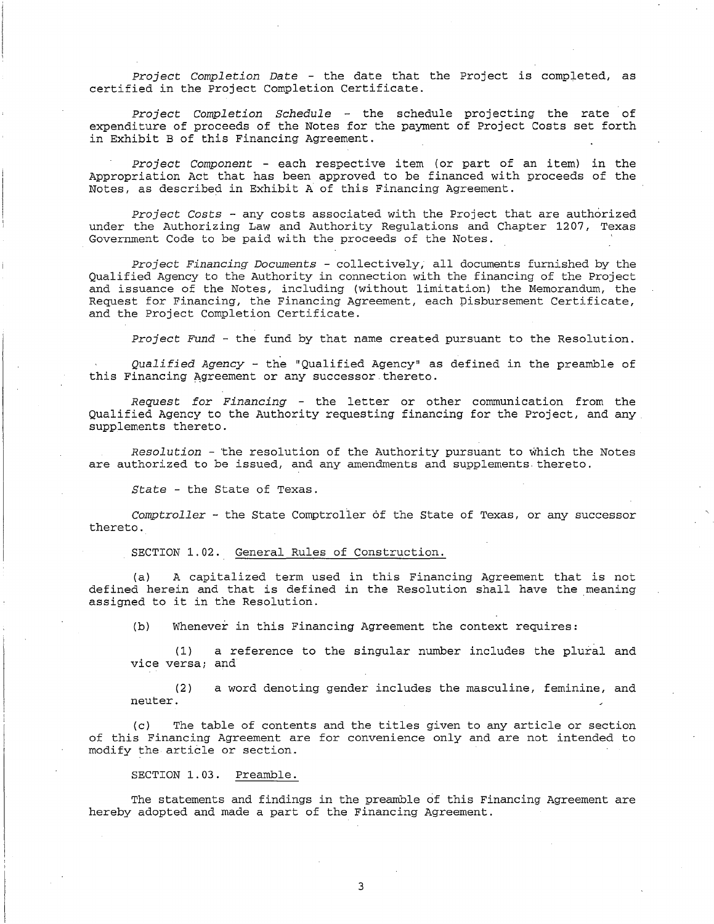Project *Completion Date* - the date that the Project is completed, as certified in the Project Completion Certificate.

Project *Completion Schedule* the schedule projecting the rate of expenditure of proceeds of the Notes for the payment of Project Costs set forth in Exhibit B of this Financing Agreement.

Project *Component* - each respective item (or part of an item) in the Appropriation Act that has been approved to be financed with proceeds of the Notes, as described in Exhibit A of this Financing Agreement.

Project *Costs* - any costs associated with the Project that are authorized under the Authorizing Law and Authority Regulations and Chapter 1207, Texas Government Code to be paid with the proceeds of the Notes.

Project *Financing Documents* - collectively, all documents furnished by the Qualified Agency to the Authority in connection with the financing of the Project and issuance of the Notes, including (without limitation) the Memorandum, the Request for Financing, the Financing Agreement, each pisbursement Certificate, and the Project Completion Certificate.

Project *Fund* - the fund by that name created pursuant to the Resolution.

*Qualified Agency* - the "Qualified Agency" as defined in the preamble of this Financing Agreement or any successor thereto.

*Request* for *Financing* - the letter or other communication from the Qualified Agency to the Authority requesting financing for the Project, and any supplements thereto.

*Resolution* - 'the resolution of the Authority pursuant to which the Notes are authorized to be issued, and any amendments and supplements thereto.

*State* - the State of Texas.

*Comptroller* - the State Comptroller of the State of Texas, or any successor thereto.

SECTION 1.02. General Rules of Construction.

(a) A capitalized term used in this Financing Agreement that is not defined herein and that is defined in the Resolution shall have the meaning assigned to it in the Resolution.

(b) Whenever in this Financing Agreement the context requires:

(1) a reference to the singular number includes the plural and vice versa; and

(2) a word denoting gender includes the masculine, feminine, and neuter.

(c) The table of contents and the titles given to any article or section of this Financing Agreement are for convenience only and are not intended to modify the article or section.

SECTION 1.03. Preamble.

The statements and findings in the preamble of this Financing Agreement are hereby adopted and made a part of the Financing Agreement.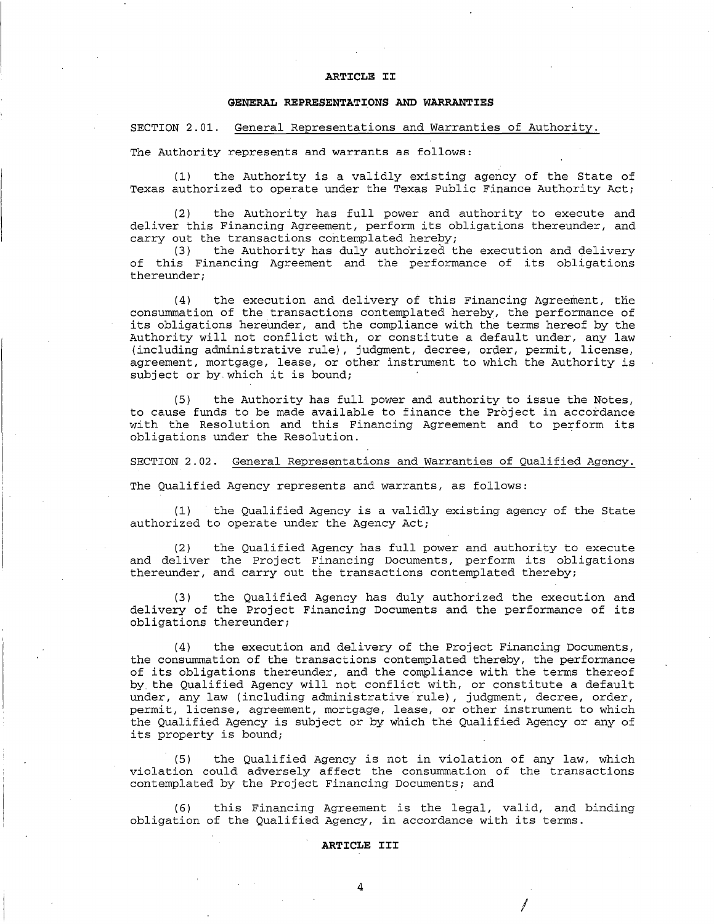#### **ARTICLE II**

### **GENERAL REPRESENTATIONS AND WARRANTIES**

SECTION 2.01. General Representations and Warranties of Authority.

The Authority represents and warrants as follows:

(1) the Authority is a validly existing agency of the State of Texas authorized to operate under the Texas Public Finance Authority Act;

(2) the Authority has full power and authority to execute and deliver this Financing Agreement, perform its obligations thereunder, and carry out the transactions contemplated hereby;<br>(3) the Authority has duly authorized t

the Authority has duly authorized the execution and delivery of this Financing Agreement and the performance of its obligations thereunder;

(4) the execution and delivery of this Financing Agreement, the consummation of the transactions contemplated hereby, the performance of its obligations hereunder, and the compliance with the terms hereof by the Authority will not conflict with, or constitute a default under, any law (including administrative rule), judgment, decree, order, permit, license, agreement, mortgage, lease, or other instrument to which the Authority is subject or by.which it is bound;

(5) the Authority has full power and authority to issue the Notes, to cause funds to be made available to finance the Project in accordance with the Resolution and this Financing Agreement and to perform its obligations under the Resolution.

SECTION 2.02. General Representations and Warranties of Qualified Agency.

The Qualified Agency represents and warrants, as follows:

(1) the Qualified Agency is a validly existing agency of the State authorized to operate under the Agency Act;

(2) the Qualified Agency has full power and authority to execute and deliver the Project Financing Documents, perform its obligations thereunder, and carry out the transactions contemplated thereby;

(3) the Qualified Agency has duly authorized the execution and delivery of the Project Financing Documents and the performance of its obligations thereunder;

(4) the execution and delivery of the Project Financing Documents, the consummation of the transactions contemplated thereby, the performance of its obligations thereunder, and the compliance with the terms thereof by the Qualified Agency will not conflict with, or constitute a default under, any law (including administrative rule), judgment, decree, order, permit, license, agreement, mortgage, lease, or other instrument to which the Qualified Agency is subject or by which the Qualified Agency or any of its property is bound;

(5) the Qualified Agency is not in violation of any law, which violation could adversely affect the consummation of the transactions contemplated by the Project Financing Documents; and

( 6) this Financing Agreement is the legal, valid, and binding obligation of the Qualified Agency, in accordance with its terms.

I

#### **ARTICLE III**

4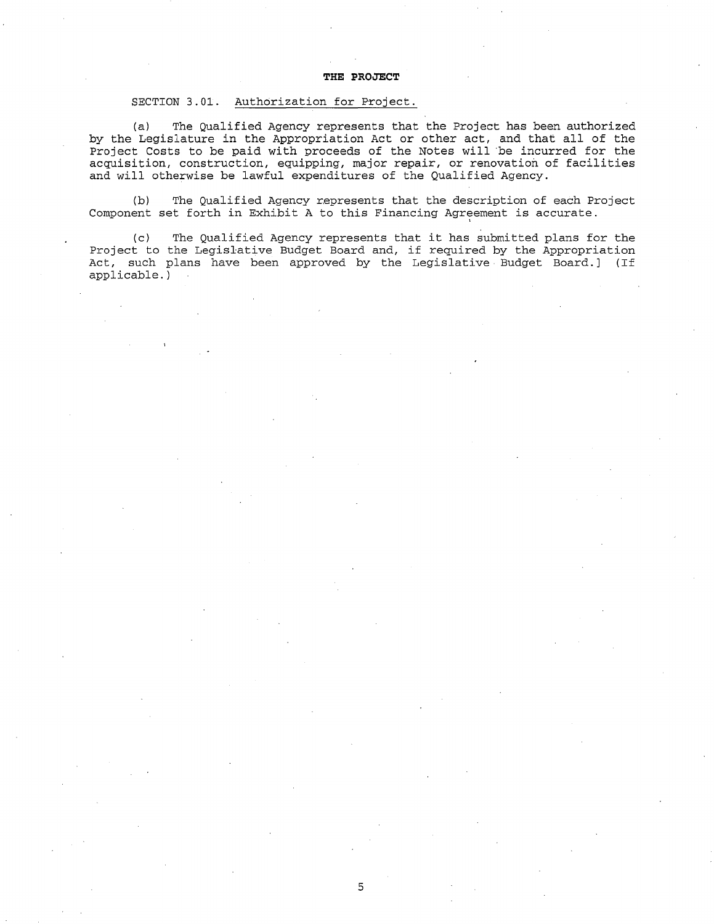#### **THE PROJECT**

# SECTION 3.01. Authorization for Project.

(a) The Qualified Agency represents that the Project has been authorized by the Legislature in the Appropriation Act or other act, and that all of the Project Costs to be paid with proceeds of the Notes will be incurred for the acquisition, construction, equipping, major repair, or renovation of facilities and will otherwise be lawful expenditures of the Qualified Agency.

(b) The Qualified Agency represents that the description of each Project Component set forth in Exhibit A to this Financing Agreement is accurate.

(c) The Qualified Agency represents that it has submitted plans for the Project to the Legislative Budget Board and, if required by the Appropriation Act, such plans have been approved by the Legislative Budget Board.] (If applicable. )

5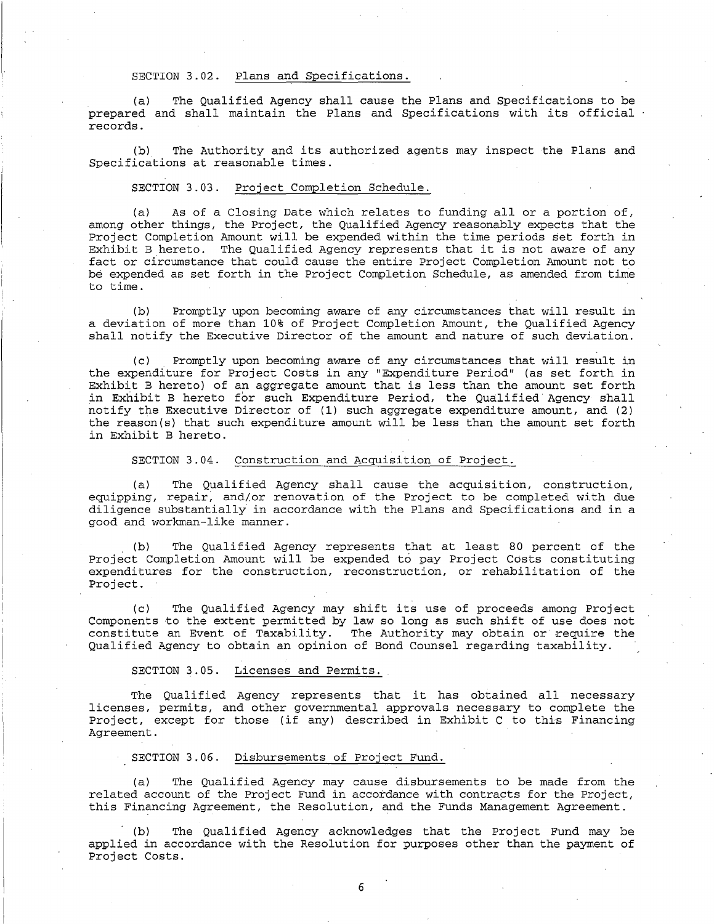# SECTION 3.02. Plans and Specifications.

(a) The Qualified Agency shall cause the Plans and Specifications to be prepared and shall maintain the Plans and Specifications with its official records.

(b) The Authority and its authorized agents may inspect the Plans and Specifications at reasonable times.

#### SECTION 3.03. Project Completion Schedule.

(a) As of a Closing Date which relates to funding all or a portion of, among other things, the Project, the Qualified Agency reasonably expects that the Project Completion Amount will be expended within the time periods set forth in Exhibit B hereto. The Qualified Agency represents that it is not aware of any fact or circumstance that could cause the entire Project Completion Amount not to be expended as set forth in the Project Completion Schedule, as amended from time to time.

(b) Promptly upon becoming aware of any circumstances that will result in a deviation of more than 10% of Project Completion Amount, the Qualified Agency shall notify the Executive Director of the amount and nature of such deviation.

(c) Promptly upon becoming aware of any circumstances that will result in the expenditure for Project Costs in any "Expenditure Period" (as set forth in Exhibit B hereto) of an aggregate amount that is less than the amount set forth in Exhibit B hereto for such Expenditure Period, the Qualified Agency shall notify the Executive Director of (1) such aggregate expenditure amount, and (2) the reason(s) that such expenditure amount will be less than the amount set forth in Exhibit B hereto.

# SECTION 3.04. Construction and Acquisition of Project.

(a) The Qualified Agency shall cause the acquisition, construction, equipping, repair; and/or renovation of the Project to be completed with due diligence substantially in accordance with the Plans and Specifications and in a good and workman-like manner.

(b) The Qualified Agency represents that at least 80 percent of the Project Completion Amount will be expended to pay Project Costs constituting expenditures for the construction, reconstruction, or rehabilitation of the Project.

(c) The Qualified Agency may shift its use of proceeds among Project Components to the extent permitted by law so long as such shift of use does not constitute an Event of Taxability. The Authority may obtain or require the Qualified Agency to obtain an opinion of Bond Counsel regarding taxability.

# SECTION 3.05. Licenses and Permits.

The Qualified Agency represents that it has obtained all necessary licenses, permits, and other governmental approvals necessary to complete the Project, except for those (if any) described in Exhibit C to this Financing Agreement.

#### SECTION 3.06. Disbursements of Project Fund.

(a} The Qualified Agency may cause disbursements to be made from the related account of the Project Fund in accordance with contracts for the Project, this Financing Agreement, the Resolution, and the Funds Management Agreement.

The Qualified Agency acknowledges that the Project Fund may be applied in accordance with the Resolution for purposes other than the payment of Project Costs.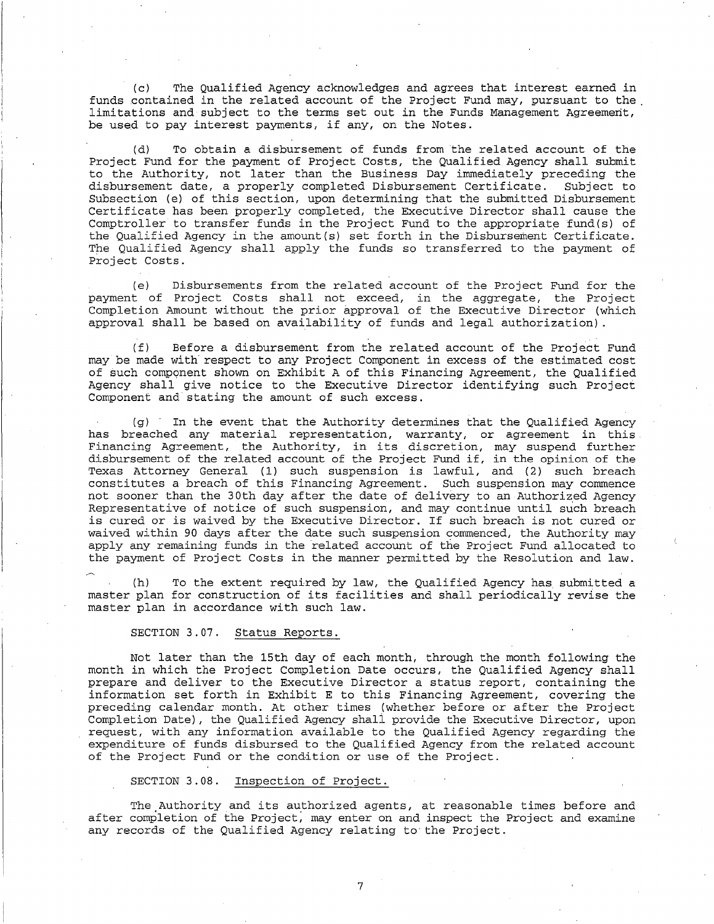(c) The Qualified Agency acknowledges and agrees that interest earned in funds contained in the related account of the Project Fund may, pursuant to the . limitations and subject to the terms set out in the Funds Management Agreement, be used to pay interest payments, if any, on the Notes.

(d) To obtain a disbursement of funds from the related account of the Project Fund for the payment of Project Costs, the Qualified Agency shall submit to the Authority, not later than the Business Day immediately preceding the disbursement date, a properly completed Disbursement Certificate. Subject to Subsection (e) of this section, upon determining that the submitted Disbursement Certificate has been properly completed, the Executive Director shall cause the Comptroller to transfer funds in the Project Fund to the appropriate fund(s) of the Qualified Agency in the amount(s) set forth in the Disbursement Certificate. The Qualified Agency shall apply the funds so transferred to the payment of Project Costs.

(e) Disbursements from the related account of the Project Fund for the payment of Project Costs shall not exceed, in the aggregate, the Project Completion Amount without the prior approval of the Executive Director (which approval shall be based on availability of funds and legal authorization) .

(f) Before a disbursement from the related account of the Project Fund may be made with respect to any Project Component in excess of the estimated cost of such component shown on Exhibit A of this Financing Agreement, the Qualified Agency shall give notice to the Executive Director identifying such Project Component and stating the amount of such excess.

(g) In the event that the Authority determines that the Qualified Agency has breached any material representation, warranty, or agreement in this. Financing Agreement, the Authority, in its discretion, may suspend further disbursement of the related account of the Project Fund if, in the opinion of the Texas Attorney General (1) such suspension is lawful, and (2) such breach constitutes a breach of this Financing Agreement. Such suspension may commence not sooner than the 30th day after the date of delivery to an Authorized Agency Representative of notice of such suspension, and may continue until such breach is cured or is waived by the Executive Director. If such breach is not cured or waived within 90 days after the date such suspension commenced, the Authority may apply any remaining funds in the related account of the Project Fund allocated to the payment of Project Costs in the manner permitted by the Resolution and law.

(h) To the extent required by law, the Qualified Agency has submitted a master plan for construction of its facilities and shall periodically revise the master plan in accordance with such law.

# SECTION 3.07. Status Reports.

Not later than the 15th day of each month, through the month following the month in which the Project Completion Date occurs, the Qualified Agency shall prepare and deliver to the Executive Director a status report, containing the information set forth in Exhibit E to this Financing Agreement, covering the preceding calendar month. At other times (whether before or after the Project Completion Date), the Qualified Agency shali provide the Executive Director, upon request, with any information available to the Qualified Agency regarding the expenditure of funds disbursed to the Qualified Agency from the related account of the Project Fund or the condition or use of the Project.

# SECTION 3.08. Inspection of Project.

The Authority and its authorized agents, at reasonable times before and after completion of the Project; may enter on and inspect the Project and examine any records of the Qualified Agency relating to· the Project.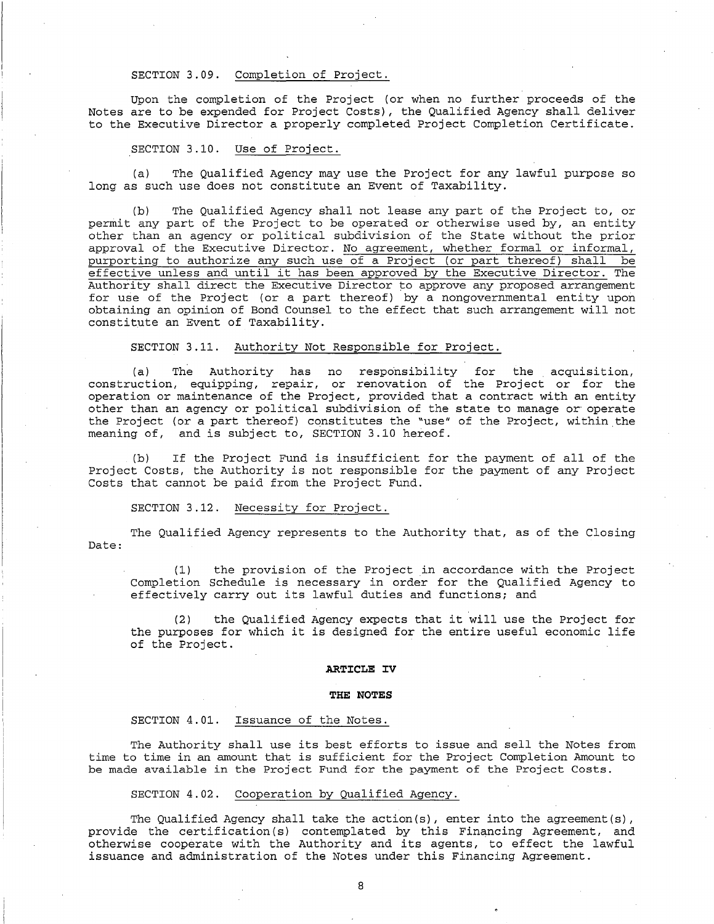#### SECTION 3.09. Completion of Project.

Upon the completion of the Project (or when no further proceeds of the Notes are to be expended for Project Costs), the Qualified Agency shall deliver to the Executive Director a properly completed Project Completion Certificate.

#### SECTION 3.10. Use of Project.

(a) The Qualified Agency may use the Project for any lawful purpose so long as such use does not constitute an Event of Taxability.

(b) The Qualified Agency shall not lease any part of the Project to, or permit any part of the Project to be operated or otherwise used by, an entity other than an agency or political subdivision of the State without the prior approval of the Executive Director. No agreement, whether formal or informal, purporting to authorize any such use of a Project (or part thereof) shall be effective unless and until it has been approved by the Executive Director. The Authority shall direct the Executive Director to approve any proposed arrangement for use of the Project (or a part thereof) by a nongovernmental entity upon obtaining an opinion of Bond Counsel to the effect that such arrangement will not constitute an Event of Taxability.

# SECTION 3.11. Authority Not Responsible for Project.

(a) The Authority has no responsibility for the acquisition, construction, equipping, repair, or renovation of the Project or for the operation or maintenance of the Project, provided that a contract with an entity other than an agency or political subdivision of the state to manage or operate the Project (or a part thereof) constitutes the "use" of the Project, within the meaning of, and is subject to, SECTION 3.10 hereof. and is subject to, SECTION 3.10 hereof.

(b) If the Project Fund is insufficient for the payment of all of the Project Costs, the Authority is not responsible for the payment of any Project Costs that cannot be paid from the Project Fund.

SECTION 3.12. Necessity for Project.

Date: The Qualified Agency represents to the Authority that, as of the Closing

(1) the provision of the Project in accordance with the Project Completion Schedule is necessary in order for the Qualified Agency to effectively carry out its lawful duties and functions; and

(2) the Qualified Agency expects that it will use the Project for the purposes for which it is designed for the entire useful economic life of the Project.

#### **ARTICLE IV**

#### **THE NOTES**

#### SECTION 4.01. Issuance of the Notes.

The Authority shall use its best efforts to issue and sell the Notes from time to time in an amount that is sufficient for the Project Completion Amount to be made available in the Project Fund for the payment of the Project Costs.

### SECTION 4.02. Cooperation by Qualified Agency.

The Qualified Agency shall take the action(s), enter into the agreement(s), provide the certification (s) contemplated by this Financing Agreement, and otherwise cooperate with the Authority and its agents, to effect the lawful issuance and administration of the Notes under this Financing Agreement.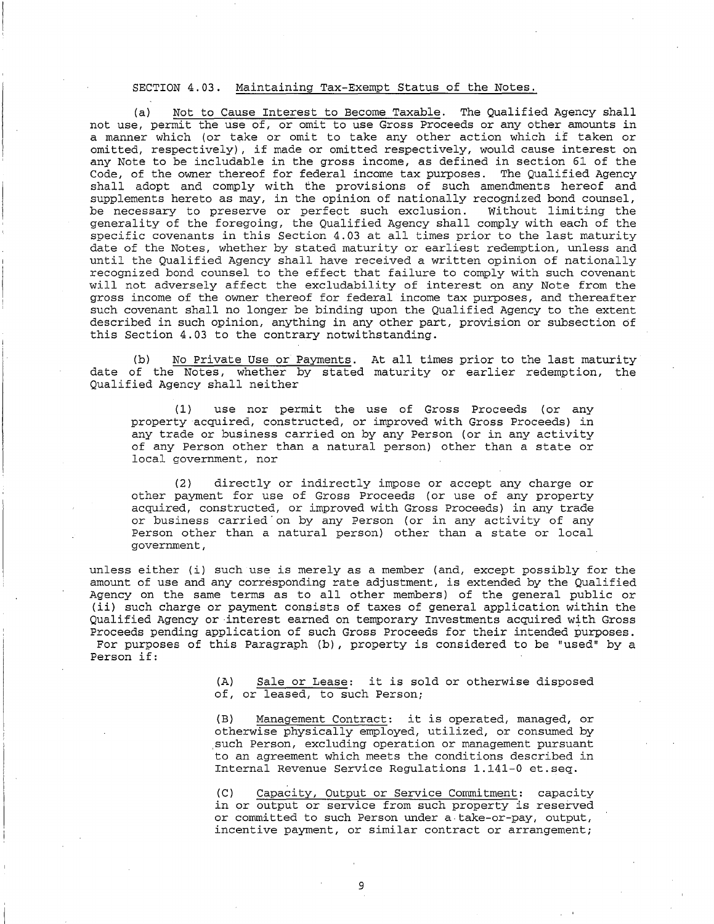# SECTION 4.03. Maintaining Tax-Exempt Status of the Notes.

(a) Not to Cause Interest to Become Taxable. The Qualified Agency shall not use, permit the use of, or omit to use Gross Proceeds or any other amounts in a manner which (or take or omit to take any other action which if taken or omitted, respectively), if made or omitted respectively, would cause interest on any Note to be includable in the gross income, as defined in section 61 of the Code, of the owner thereof for federal income tax purposes. The Qualified Agency shall adopt and comply with the provisions of such amendments hereof and supplements hereto as may, in the opinion of nationally recognized bond counsel,<br>be necessary to preserve or perfect such exclusion. Without limiting the be necessary to preserve or perfect such exclusion. generality of the foregoing, the Qualified Agency shall comply with each of the specific covenants in this Section 4.03 at all times prior to the last maturity date of the Notes, whether by stated maturity or earliest redemption, unless and until the Qualified Agency shall have received a written opinion of nationally recognized bond counsel to the effect that failure to comply with such covenant will not adversely affect the excludability of interest on any Note from the gross income of the owner thereof for federal income tax purposes, and thereafter such covenant shall no longer be binding upon the Qualified Agency to the extent described in such opinion, anything in any other part, provision or subsection of this Section 4.03 to the contrary notwithstanding.

(b) No Private Use or Payments. At all times prior to the last maturity date of the Notes, whether by stated maturity or earlier redemption, the Qualified Agency shall neither

( 1) use nor permit the use of Gross Proceeds (or any property acquired, constructed, or improved with Gross Proceeds) in any trade or business carried on by any Person (or in any activity of any Person other than a natural person) other than a state or local government, nor

(2) directly or indirectly impose or accept any charge or other payment for use of Gross Proceeds (or use of any property acquired, constructed, or improved with Gross Proceeds) in any trade or business carried·on by any Person (or in any activity of any Person other than a natural person) other than a state or local government,

unless either (i) such use is merely as a member (and, except possibly for the amount of use and any corresponding rate adjustment, is extended by the Qualified Agency on the same terms as to all other members) of the general public or (ii) such charge or payment consists of taxes of general application within the Qualified Agency or ·interest earned on temporary Investments acquired with Gross Proceeds pending application of such Gross Proceeds for their intended purposes. For purposes of this Paragraph (b) , property is considered to be "used" by a Person if:

> (A) Sale or Lease: it is sold or otherwise disposed of, or leased, to such Person;

> (B) Management Contract: it is operated, managed, or otherwise physically employed, utilized, or consumed by .such Person, excluding operation or management pursuant to an agreement which meets the conditions described in Internal Revenue Service Regulations 1.141-0 et.seq.

> (C) Capacity, Output or Service Commitment: capacity in or output or service from such property is reserved or committed to such Person under a take-or-pay, output, incentive payment, or similar contract or arrangement;

> > 9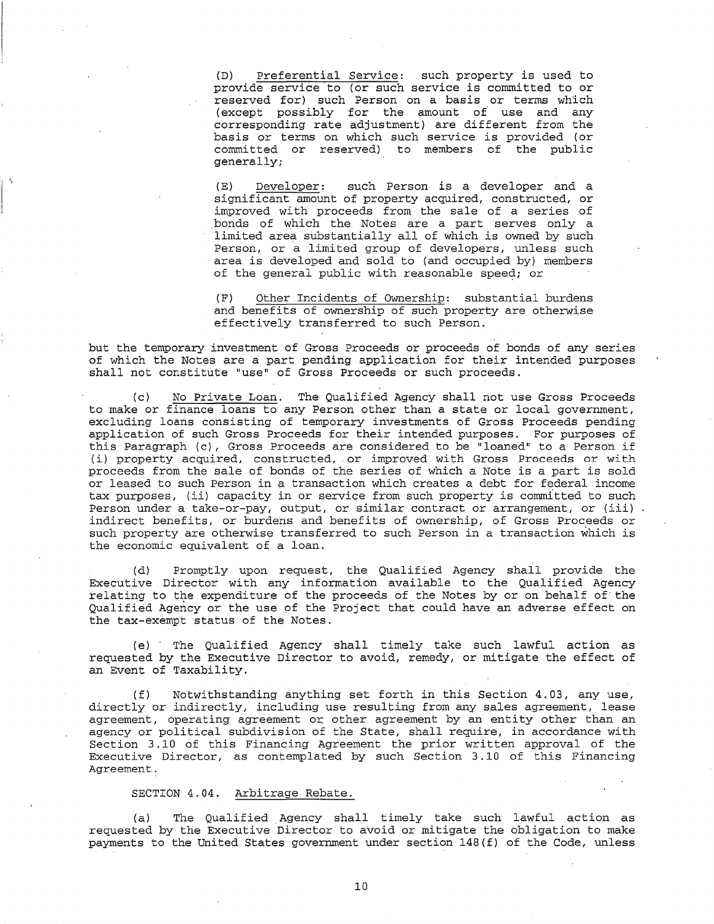(D) Preferential Service: such property is used to provide service to (or such service is committed to or reserved for) such Person on a basis or terms which (except possibly for the amount of use and any corresponding rate adjustment) are different from the basis or terms on which such service is provided (or committed or reserved) to members of the public generally;

(E) Developer: such Person is a developer and a significant amount of property acquired, constructed, or improved with proceeds from the sale of a series of .bonds of which the Notes are a part serves only a limited area substantially all of which is owned by such Person, or a limited group of developers, unless such area is developed and sold to (and occupied by) members of the general public with reasonable speed; or

(F) Other Incidents of Ownership: substantial burdens and benefits of ownership of such property are otherwise effectively transferred to such Person.

but the temporary investment of Gross Proceeds or proceeds of bonds of any series of which the Notes are a part pending application for their intended purposes shall not constitute "use" of Gross Proceeds or such proceeds.

(c) No Private Loan. The Qualified Agency shall not use Gross Proceeds to make or finance loans to any Person other than a state or local government, excluding loans consisting of temporary investments of Gross Proceeds pending application of such Gross Proceeds for their intended purposes. For purposes of this Paragraph (c), Gross Proceeds are considered to be "loaned" to a Person if (i) property acquired, constructed, or improved with Gross Proceeds or with proceeds from the sale of bonds of the series of which a Note is a part is sold or leased to such Person in a transaction which creates a debt for federal income tax purposes, (ii) capacity in or service from such property is committed to such Person under a take-or-pay, output, or similar contract or arrangement, or (iii). indirect benefits, or burdens and benefits of ownership, of Gross Proceeds or such property are otherwise transferred to such Person in a transaction which is the economic equivalent of a loan.

(d) Promptly upon request, the Qualified Agency shall provide the Executive Director with any information available to the Qualified Agency relating to the expenditure of the proceeds of the Notes by or on behalf of the Qualified Agency or the use of the Project that could have an adverse effect on the tax-exempt status of the Notes.

(e) · The Qualified Agency shall timely take such lawful action as requested by the Executive Director to avoid, remedy, or mitigate the effect of an Event of Taxability.

(f) Notwithstanding anything set forth in this Section 4.03, any use, directly or indirectly, including use resulting from any sales agreement, lease agreement, operating agreement or other agreement by an entity other than an agency or political subdivision of the State, shall require, in accordance with Section 3.10 of this Financing Agreement the prior written approval of the Executive Director, as contemplated by such Section 3.10 of this Financing Agreement.

# SECTION 4.04. Arbitrage Rebate.

(a} The Qualified Agency shall timely take such lawful action as requested by the Executive Director to avoid or mitigate the obligation to make payments to the United States government under section 148(f) of the Code, unless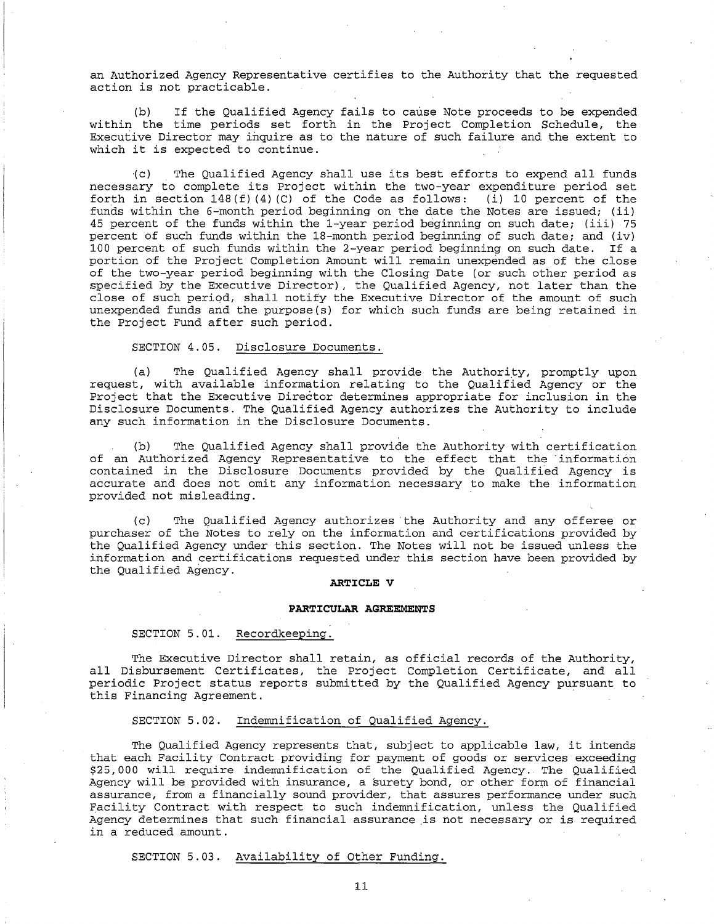an Authorized Agency Representative certifies to the Authority that the requested action is not practicable.

(b) If the Qualified Agency fails to cause Note proceeds to be expended within the time periods set forth in the Project Completion Schedule, the Executive Director may inquire as to the nature of such failure and the extent to which it is expected to continue.

·(c) The Qualified Agency shall use its best efforts to expend all funds necessary to complete its Project within the two-year expenditure period set forth in section  $148(f)(4)(C)$  of the Code as follows: (i) 10 percent of the funds within the 6-month period beginning on the date the Notes are issued; (ii) 45 percent of the funds within the 1-year period beginning on such date; (iii) 75 percent of such funds within the 18-month period beginning of such date; and (iv) 100 percent of such funds within the 2-year period beginning on such date. If a portion of the Project Completion Amount will remain unexpended as of the close of the two-year period beginning with the Closing Date (or such other period as specified by the Executive Director) , the Qualified Agency, not later than the close of such period, shall notify the Executive Director of the amount of such unexpended funds and the purpose(s) for which such funds are being retained in the Project Fund after such period.

#### SECTION 4.05. Disclosure Documents.

(a) The Qualified Agency shall provide the Authority, promptly upon request, with available information relating to the Qualified Agency or the Project that the Executive Director determines appropriate for inclusion in the Disclosure Documents. The Qualified Agency authorizes the Authority to include any such information in the Disclosure Documents.

(b) The Qualified Agency shall provide the Authority with certification of an Authorized Agency Representative to the effect that the information contained in the Disclosure Documents provided by the Qualified Agency is accurate and does not omit any information necessary to make the information provided not misleading.

(c) The Qualified Agency authorizes the Authority and any offeree or purchaser of the Notes to rely on the information and certifications provided by the Qualified Agency under this section. The Notes will not be issued unless the information and certifications requested under this section have been provided by the Qualified Agency.

#### **ARTICLE V**

#### **PARTICULAR AGREEMENTS**

### SECTION 5.01. Recordkeeping.

The Executive Director shall retain, as official records of the Authority, all Disbursement Certificates, the Project Completion Certificate, and all periodic Project status reports submitted by the Qualified Agency pursuant to this Financing Agreement.

#### SECTION 5.02. Indemnification of Qualified Agency.

The Qualified Agency represents that, subject to applicable law, it intends that each Facility Contract providing for payment of goods or services exceeding \$25, 000 will require indemnification of the Qualified Agency. The Qualified Agency will be provided with insurance, a surety bond, or other form of financial assurance, from a financially sound provider, that assures performance under such Facility Contract with respect to such indemnification, unless the Qualified Agency determines that such financial assurance is not necessary or is required in a reduced amount.

#### SECTION 5.03. Availability of Other Funding.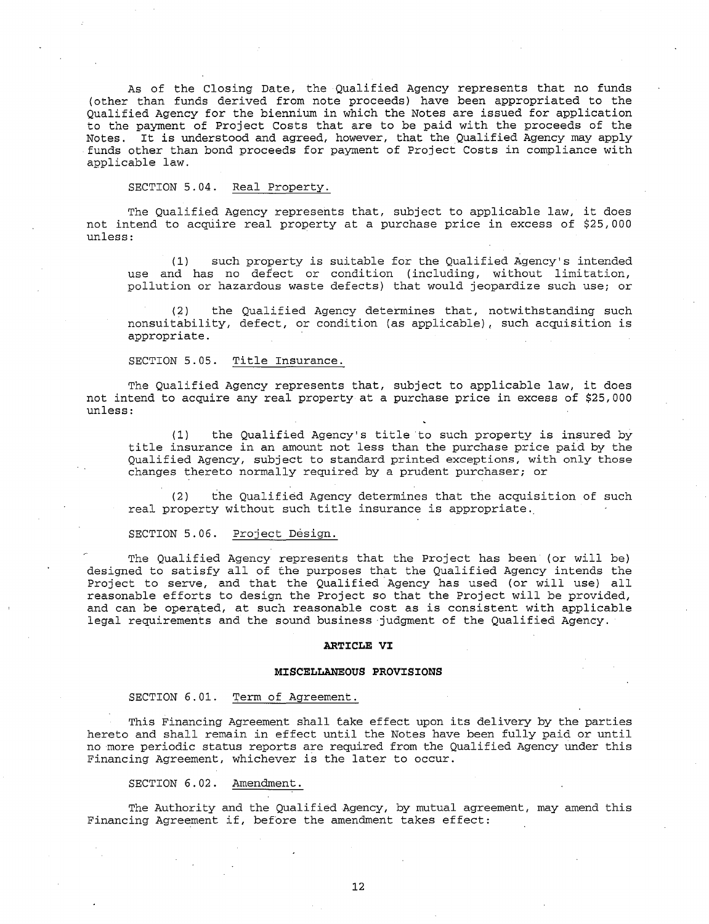As of the Closing *Date,* the Qualified Agency represents that no funds (other than funds derived from note proceeds) have been appropriated to the Qualified Agency for the biennium in which the Notes are issued for application to the payment of Project Costs that are to be paid with the proceeds of the Notes. It is understood and agreed, however, that the Qualified Agency may apply funds other than bond proceeds for payment of Project Costs in compliance with applicable law.

SECTION 5.04. Real Property.

The Qualified Agency represents that, subject to applicable law, it does not intend to acquire real property at a purchase price in excess of \$25,000 unless:

{1) such property is suitable for the Qualified Agency's intended use and has no defect or condition (including, without limitation, pollution or hazardous waste defects) that would jeopardize such use; or

(2) the Qualified Agency determines that, notwithstanding such nonsuitability, defect, or condition (as applicable), such acquisition is appropriate.

SECTION 5.05. Title Insurance.

The Qualified Agency represents that, subject to applicable law, it does not intend to acquire any real property at a purchase price in excess of \$25,000 unless:

(1) the Qualified Agency's title to such property is insured by title insurance in an amount not less than the purchase price paid by the Qualified Agency, subject to standard printed exceptions, with only those changes thereto normally required by a prudent purchaser; or

(2) the Qualified Agency determines that the acquisition of such real property without such title insurance is appropriate.

SECTION 5.06. Project Design.

The Qualified Agency represents that the Project has been (or will be) designed to satisfy all of the purposes that the Qualified Agency intends the Project to serve, and that the Qualified Agency has used (or will use) all reasonable efforts to design the Project so that the Project will be provided, and can be operated, at such reasonable cost as is consistent with applicable legal requirements and the sound business judgment of the Qualified Agency.

#### **ARTICLE VI**

#### **MISCELLANEOUS PROVISIONS**

# SECTION 6.01. Term of Agreement.

This Financing Agreement shall *take* effect upon its delivery by the parties hereto and shall remain in effect until the Notes have been fully paid or until no more periodic status reports are required from the Qualified Agency under this Financing Agreement, whichever is the later to occur.

SECTION 6.02. Amendment.

The Authority and the Qualified Agency, by mutual agreement, may amend this Financing Agreement if, before the amendment takes effect: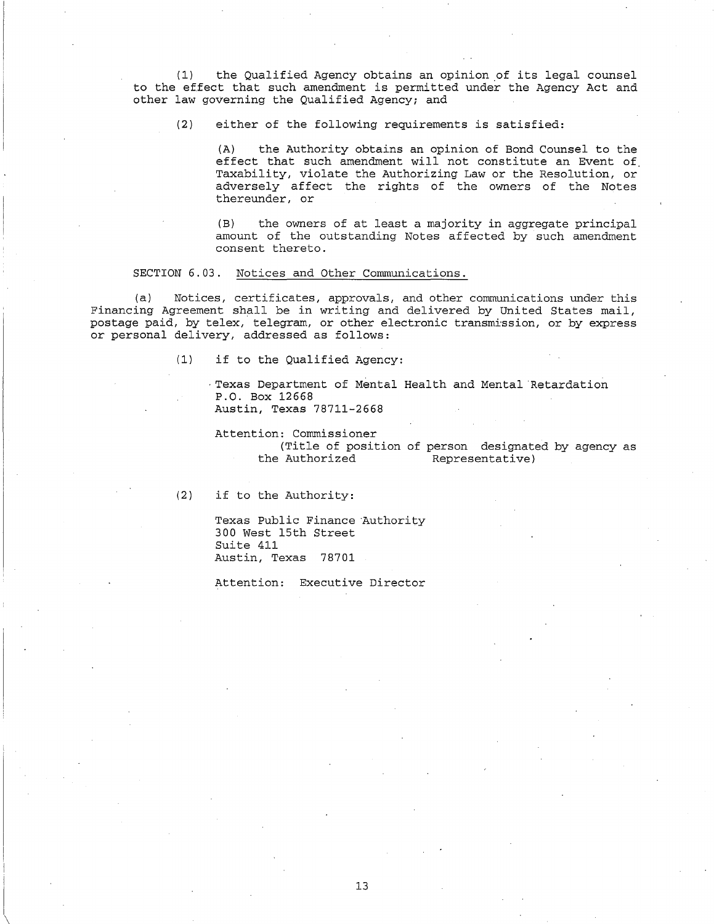(1) the Qualified Agency obtains an opinion \_of its legal counsel to the effect that such amendment is permitted under the Agency Act and other law governing the Qualified Agency; and

(2) either of the following requirements is satisfied:

(A) the Authority obtains an opinion of Bond Counsel to the effect that such amendment will not constitute an Event of Taxability, violate the Authorizing Law or the Resolution, or adversely affect the rights of the owners of the Notes thereunder, or

(B) the owners of at least a majority in aggregate principal amount of the outstanding Notes affected by such amendment consent thereto.

### SECTION 6.03. Notices and Other Communications.

(a) Notices, certificates, approvals, and other communications under this Financing Agreement shall be in writing and delivered by United States mail, postage paid, by telex, telegram, or other electronic transmission, or by express or personal delivery, addressed as follows:

(1) if to the Qualified Agency:

·Texas Department of Mental Health and Mental Retardation P.O. Box 12668 Austin, Texas 78711-2668

Attention: Commissioner

(Title of position of person designated by agency as the Authorized Representative) Representative)

(2) if to the Authority:

Texas Public Finance Authority 300 West 15th Street Suite 411 Austin, Texas 78701

Attention: Executive Director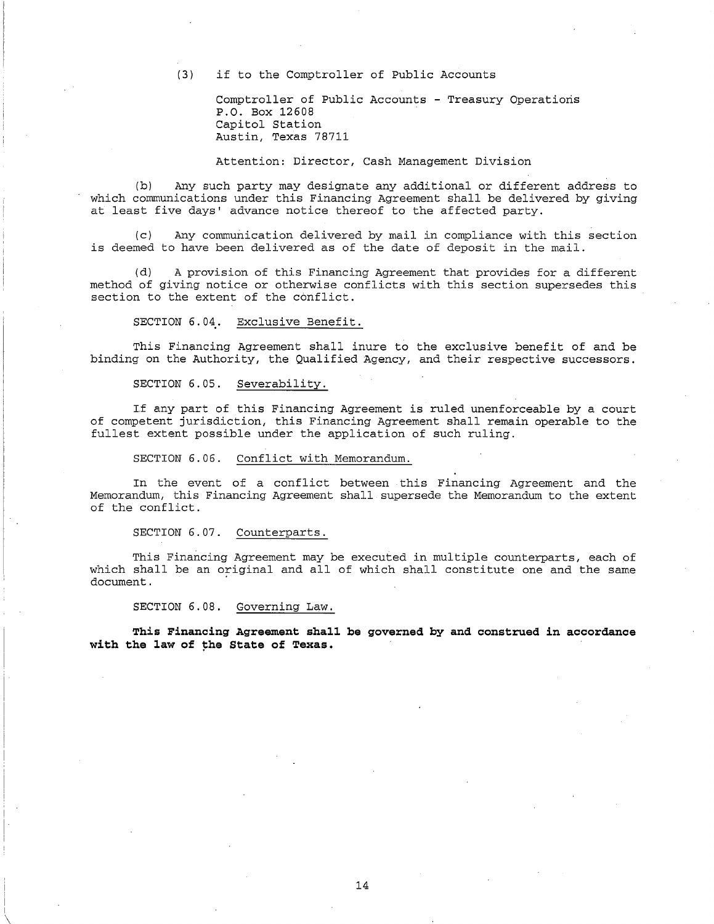(3) if to the Comptroller of Public Accounts

Comptroller of Public Accounts - Treasury Operations P.O. Box 12608 Capitol Station Austin, Texas 78711

Attention: Director, Cash Management Division

(b) Any such party may designate any additional or different address to which communications under this Financing Agreement shall be delivered by giving at least five days' advance notice thereof to the affected party.

(c) Any communication delivered by mail in compliance with this section is deemed to have been delivered as of the date of deposit in the mail.

(d) A provision of this Financing Agreement that provides for a different method of giving notice or otherwise conflicts with this section supersedes this section to the extent of the conflict.

SECTION 6.04. Exclusive Benefit.

This Financing Agreement shall inure to the exclusive benefit of and be binding on the Authority, the Qualified Agency, and their respective successors.

SECTION 6.05. Severability.

If any part of this Financing Agreement is ruled unenforceable by a court of competent jurisdiction, this Financing Agreement shall remain operable to the fullest extent possible under the application of such ruling.

SECTION 6.06. Conflict with Memorandum.

In the event of a conflict between this Financing Agreement and the Memorandum, this Financing Agreement shall supersede the Memorandum to the extent of the conflict.

SECTION 6.07. Counterparts.

This Financing Agreement may be executed in multiple counterparts, each of which shall be an original and all of which shall constitute one and the same document.

SECTION 6.08. Governing Law.

**This Financing Agreement shall be governed by and construed in accordance**   $with$  the law of the State of Texas.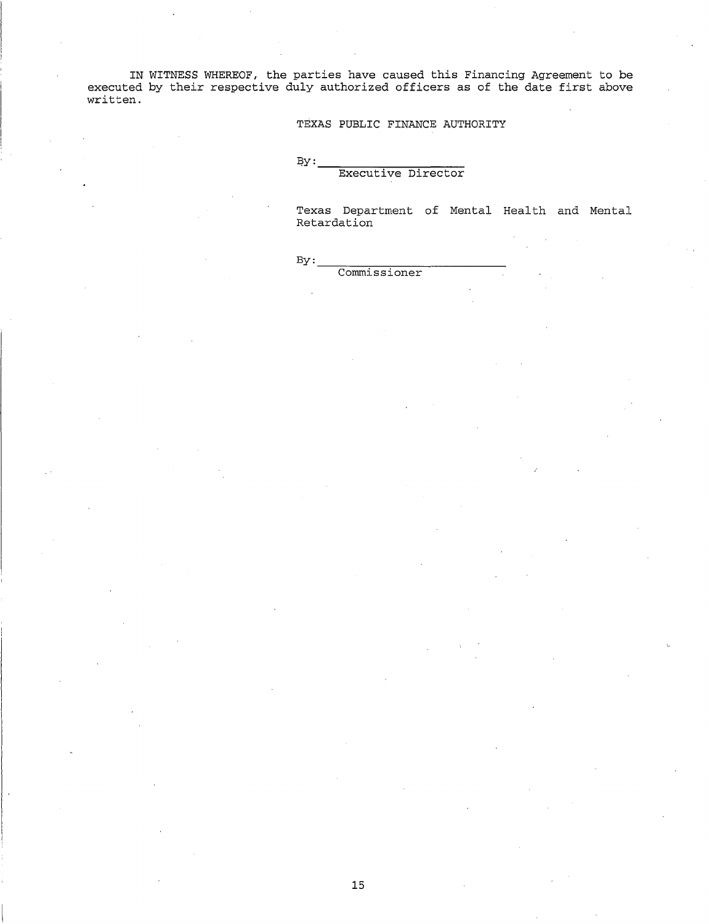IN WITNESS WHEREOF, the parties have caused this Financing Agreement to be executed by their respective duly authorized officers as of the date first above written.

TEXAS PUBLIC FINANCE AUTHORITY

 $By:$ 

# Executive Director

Texas Department of Mental Health and Mental Retardation

 $\n By: \n   
\n Commissioner\n$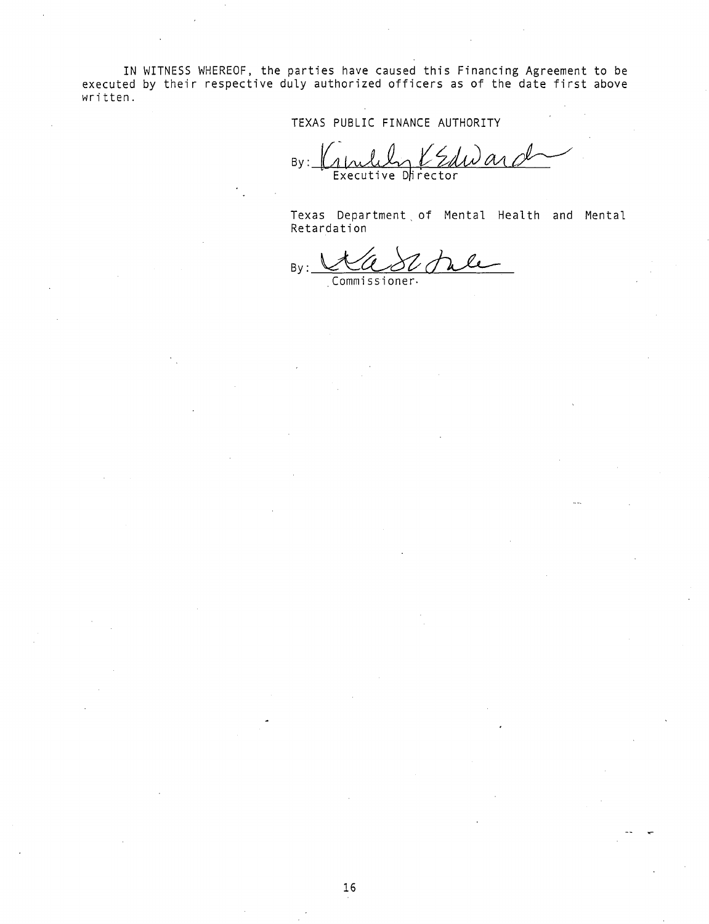IN WITNESS WHEREOF, the parties have caused this Financing Agreement to be executed by their respective duly authorized officers as of the date first above written.

TEXAS PUBLIC FINANCE AUTHORITY

 $By:$  Capulary entry and Executive Dhrector

Texas Department, of Mental Health and Mental Retardation

By: Kasiner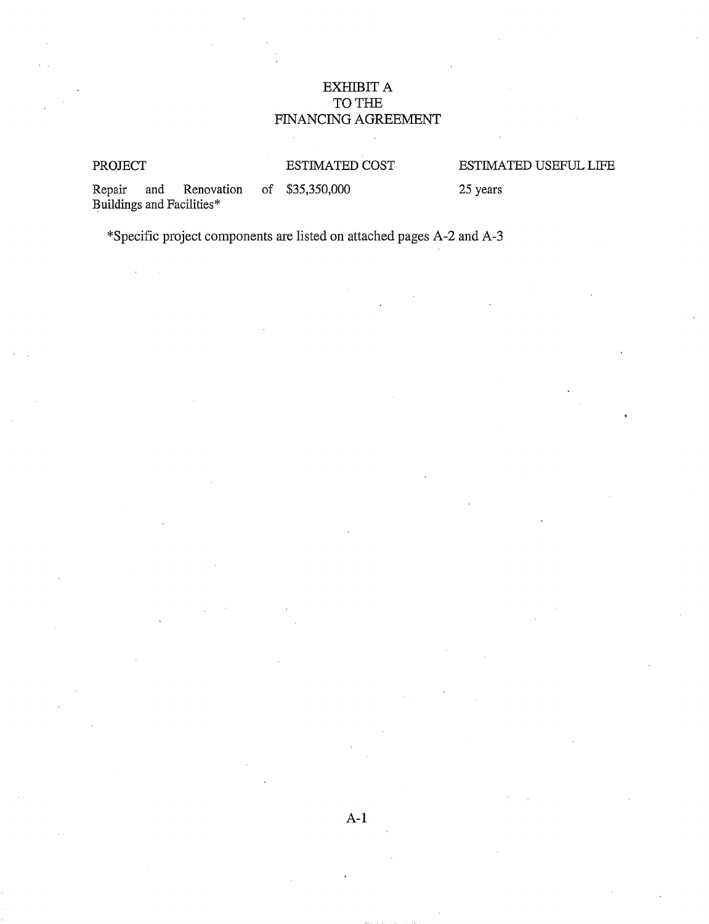# EXHIBIT A TO THE FINANCING AGREEMENT

# PROJECT ESTIMATED COST

# ESTIMATED USEFUL LIFE

Repair and Renovation of \$35,350,000 Buildings and Facilities\*

25 years

\*Specific project components are listed on attached pages A-2 and A-3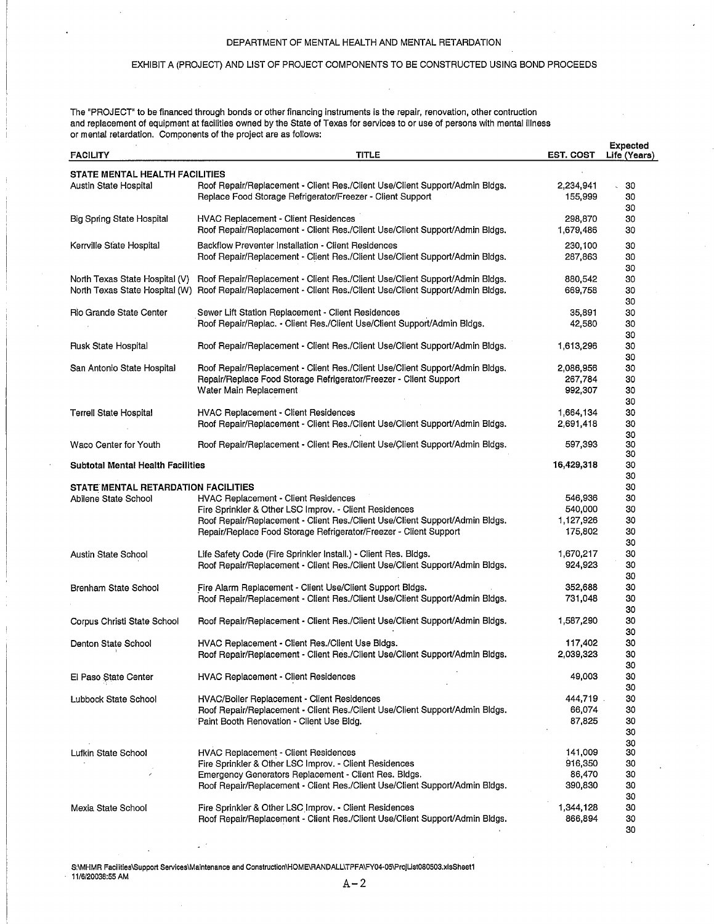### DEPARTMENT OF MENTAL HEALTH AND MENTAL RETARDATION

# EXHIBIT A (PROJECT) AND LIST OF PROJECT COMPONENTS TO BE CONSTRUCTED USING BOND PROCEEDS

The "PROJECT" to be financed through bonds or other financing instruments is the repair, renovation, other contruction and replacement of equipment at facilities owned by the State of Texas for services to or use of persons with mental illness or mental retardation. Components of the project are as follows:

| <b>FACILITY</b>                          | <b>TITLE</b>                                                                                                                     | <b>EST. COST</b> | <b>Expected</b><br>Life (Years) |
|------------------------------------------|----------------------------------------------------------------------------------------------------------------------------------|------------------|---------------------------------|
| STATE MENTAL HEALTH FACILITIES           |                                                                                                                                  |                  |                                 |
| Austin State Hospital                    | Roof Repair/Replacement - Client Res./Client Use/Client Support/Admin Bldgs.                                                     | 2,234,941        | 30                              |
|                                          | Replace Food Storage Refrigerator/Freezer - Client Support                                                                       | 155,999          | 30                              |
|                                          |                                                                                                                                  |                  | -30                             |
| Big Spring State Hospital                | HVAC Replacement - Client Residences                                                                                             | 298,870          | 30                              |
|                                          | Roof Repair/Replacement - Client Res./Client Use/Client Support/Admin Bldgs.                                                     | 1,679,486        | 30                              |
| Kerrville State Hospital                 | Backflow Preventer Installation - Client Residences                                                                              | 230,100          | 30                              |
|                                          | Roof Repair/Replacement - Client Res./Client Use/Client Support/Admin Bldgs.                                                     | 287,863          | 30                              |
|                                          |                                                                                                                                  |                  | 30                              |
| North Texas State Hospital (V)           | Roof Repair/Replacement - Client Res./Client Use/Client Support/Admin Bldgs.                                                     | 880,542          | 30                              |
| North Texas State Hospital (W)           | Roof Repair/Replacement - Client Res./Client Use/Client Support/Admin Bldgs.                                                     | 669,758          | 30                              |
|                                          |                                                                                                                                  |                  | 30                              |
| Rio Grande State Center                  | Sewer Lift Station Replacement - Client Residences                                                                               | 35,891           | 30                              |
|                                          | Roof Repair/Replac. - Client Res./Client Use/Client Support/Admin Bldgs.                                                         | 42,580           | 30                              |
|                                          |                                                                                                                                  |                  | 30                              |
| Rusk State Hospital                      | Roof Repair/Replacement - Client Res./Client Use/Client Support/Admin Bldgs.                                                     | 1,613,296        | 30                              |
|                                          |                                                                                                                                  |                  | 30                              |
| San Antonio State Hospital               | Roof Repair/Replacement - Client Res./Client Use/Client Support/Admin Bldgs.                                                     | 2,086,956        | 30                              |
|                                          | Repair/Replace Food Storage Refrigerator/Freezer - Client Support                                                                | 267,784          | 30                              |
|                                          | Water Main Replacement                                                                                                           | 992.307          | 30                              |
|                                          |                                                                                                                                  |                  | 30                              |
| <b>Terrell State Hospital</b>            | HVAC Replacement - Client Residences                                                                                             | 1,664,134        | 30                              |
|                                          | Roof Repair/Replacement - Client Res./Client Use/Client Support/Admin Bldgs.                                                     | 2,691,418        | 30                              |
| Waco Center for Youth                    | Roof Repair/Replacement - Client Res./Client Use/Client Support/Admin Bldgs.                                                     | 597,393          | 30<br>30                        |
|                                          |                                                                                                                                  |                  | 30                              |
| <b>Subtotal Mental Health Facilities</b> |                                                                                                                                  | 16,429,318       | 30                              |
|                                          |                                                                                                                                  |                  | 30                              |
| STATE MENTAL RETARDATION FACILITIES      |                                                                                                                                  |                  | 30                              |
| Abilene State School                     | HVAC Replacement - Client Residences                                                                                             | 546,936          | 30                              |
|                                          | Fire Sprinkler & Other LSC Improv. - Client Residences                                                                           | 540,000          | 30                              |
|                                          | Roof Repair/Replacement - Client Res./Client Use/Client Support/Admin Bldgs.                                                     | 1,127,926        | 30                              |
|                                          | Repair/Replace Food Storage Refrigerator/Freezer - Client Support                                                                | 175,802          | 30                              |
|                                          |                                                                                                                                  |                  | 30                              |
| Austin State School                      | Life Safety Code (Fire Sprinkler Install.) - Client Res. Bldgs.                                                                  | 1,670,217        | 30                              |
|                                          | Roof Repair/Replacement - Client Res./Client Use/Client Support/Admin Bldgs.                                                     | 924,923          | 30                              |
|                                          |                                                                                                                                  |                  | 30                              |
| Brenham State School                     | Fire Alarm Replacement - Client Use/Client Support Bldgs.                                                                        | 352,688          | 30                              |
|                                          | Roof Repair/Replacement - Client Res./Client Use/Client Support/Admin Bldgs.                                                     | 731,048          | 30                              |
|                                          |                                                                                                                                  |                  | 30                              |
| Corpus Christi State School              | Roof Repair/Replacement - Client Res./Client Use/Client Support/Admin Bldgs.                                                     | 1,587,290        | 30                              |
|                                          |                                                                                                                                  |                  | 30                              |
| Denton State School                      | HVAC Replacement - Client Res./Client Use Bldgs.<br>Roof Repair/Replacement - Client Res./Client Use/Client Support/Admin Bldgs. | 117,402          | 30<br>30                        |
|                                          |                                                                                                                                  | 2,039,323        | 30                              |
|                                          | <b>HVAC Replacement - Client Residences</b>                                                                                      | 49,003           | 30                              |
| El Paso State Center                     |                                                                                                                                  |                  | 30                              |
| Lubbock State School                     | HVAC/Boiler Replacement - Client Residences                                                                                      | 444,719          | 30                              |
|                                          | Roof Repair/Replacement - Client Res./Client Use/Client Support/Admin Bldgs.                                                     | 66,074           | 30                              |
|                                          | Paint Booth Renovation - Client Use Bldg.                                                                                        | 87,825           | 30                              |
|                                          |                                                                                                                                  |                  | 30                              |
|                                          |                                                                                                                                  |                  | 30                              |
| Lufkin State School                      | HVAC Replacement - Client Residences                                                                                             | 141,009          | 30                              |
|                                          | Fire Sprinkler & Other LSC Improv. - Client Residences                                                                           | 916,350          | 30                              |
|                                          | Emergency Generators Replacement - Client Res. Bldgs.                                                                            | 86,470           | 30                              |
|                                          | Roof Repair/Replacement - Client Res./Client Use/Client Support/Admin Bldgs.                                                     | 390,830          | 30                              |
|                                          |                                                                                                                                  |                  | 30                              |
| Mexia State School                       | Fire Sprinkler & Other LSC Improv. - Client Residences                                                                           | 1,344,128        | 30                              |
|                                          | Roof Repair/Replacement - Client Res./Client Use/Client Support/Admin Bldgs.                                                     | 866,894          | 30                              |
|                                          |                                                                                                                                  |                  | 30                              |

S:\MHMR Facilities\Support Services\Maintenance and Construction\HOME\RANDALL\TPFA\FY04-05\ProjList080503.xlsSheet1<br>11/6/20038:55 AM

11/6/20038:55 AM  $A-2$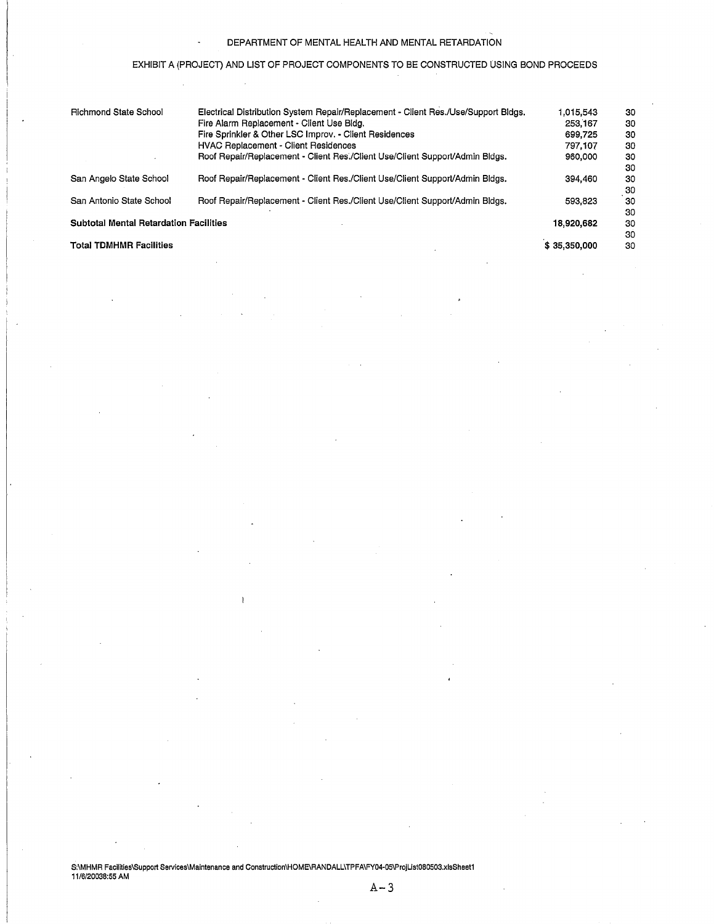# DEPARTMENT OF MENTAL HEALTH AND MENTAL RETARDATION

# EXHIBIT A (PROJECT) AND LIST OF PROJECT COMPONENTS TO BE CONSTRUCTED USING BOND PROCEEDS

| <b>Richmond State School</b>                  | Electrical Distribution System Repair/Replacement - Client Res./Use/Support Bldgs. | 1.015.543    | 30 |
|-----------------------------------------------|------------------------------------------------------------------------------------|--------------|----|
|                                               | Fire Alarm Replacement - Client Use Bldg.                                          | 253,167      | 30 |
|                                               | Fire Sprinkler & Other LSC Improv. - Client Residences                             | 699.725      | 30 |
|                                               | <b>HVAC Replacement - Client Residences</b>                                        | 797.107      | 30 |
|                                               | Roof Repair/Replacement - Client Res./Client Use/Client Support/Admin Bldgs.       | 960,000      | 30 |
|                                               |                                                                                    |              | 30 |
| San Angelo State School                       | Roof Repair/Replacement - Client Res./Client Use/Client Support/Admin Bldgs.       | 394,460      | 30 |
|                                               |                                                                                    |              | 30 |
| San Antonio State School                      | Roof Repair/Replacement - Client Res./Client Use/Client Support/Admin Bldgs.       | 593.823      | 30 |
|                                               |                                                                                    |              | 30 |
| <b>Subtotal Mental Retardation Facilities</b> | 18,920,682                                                                         | 30           |    |
|                                               |                                                                                    |              | 30 |
| <b>Total TDMHMR Facilities</b>                |                                                                                    | \$35,350,000 | 30 |

S:\MHMR Facilities\Support Services\Maintenance and Construction\HOME\RANDALL\TPFA\FY04-05\ProjList080503.xlsSheet1<br>11/6/20038:55 AM

 $A-3$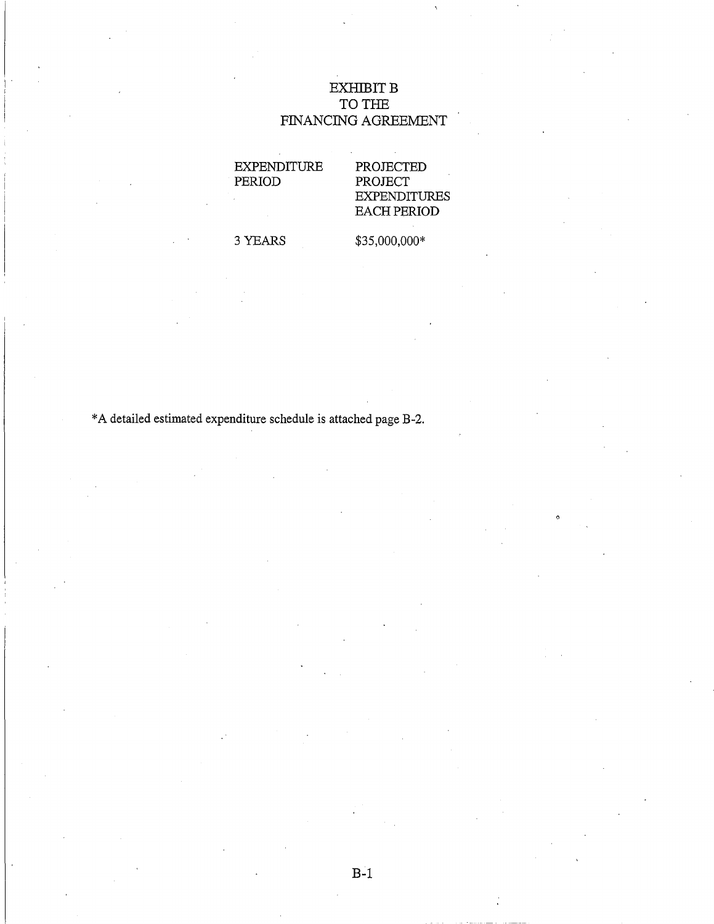# $EXHIBITB$ TO THE FINANCING AGREEMENT

EXPENDITURE PERIOD

# PROJECTED PROJECT EXPENDITURES EACH PERIOD

3 YEARS

\$35,000,000\*

\*A detailed estimated expenditure schedule is attached page B-2.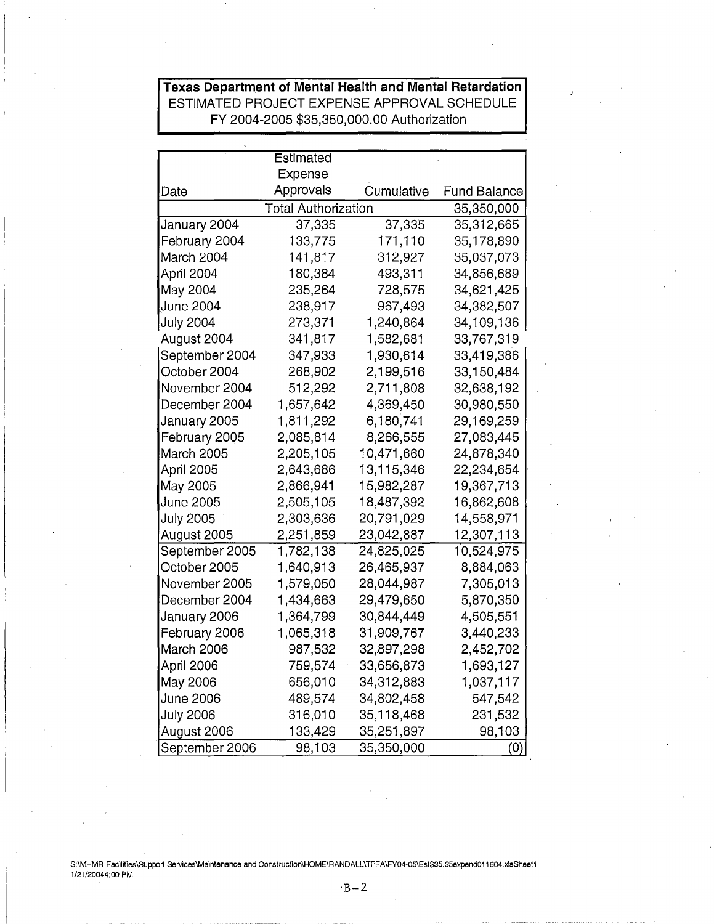# **Texas Department of Mental Health and Mental Retardation**  ESTIMATED PROJECT EXPENSE APPROVAL SCHEDULE FY 2004-2005 \$35,350,000.00 Authorization

|                  | Estimated                  |            |            |  |
|------------------|----------------------------|------------|------------|--|
|                  | Expense                    |            |            |  |
| Date             | Approvals                  | Cumulative |            |  |
|                  | <b>Total Authorization</b> |            |            |  |
| January 2004     | 37,335                     | 37,335     | 35,312,665 |  |
| February 2004    | 133,775                    | 171,110    | 35,178,890 |  |
| March 2004       | 141,817                    | 312,927    | 35,037,073 |  |
| April 2004       | 180,384                    | 493,311    | 34,856,689 |  |
| May 2004         | 235,264                    | 728,575    | 34,621,425 |  |
| June 2004        | 238,917                    | 967,493    | 34,382,507 |  |
| <b>July 2004</b> | 273,371                    | 1,240,864  | 34,109,136 |  |
| August 2004      | 341,817                    | 1,582,681  | 33,767,319 |  |
| September 2004   | 347,933                    | 1,930,614  | 33,419,386 |  |
| October 2004     | 268,902                    | 2,199,516  | 33,150,484 |  |
| November 2004    | 512,292                    | 2,711,808  | 32,638,192 |  |
| December 2004    | 1,657,642                  | 4,369,450  | 30,980,550 |  |
| January 2005     | 1,811,292                  | 6,180,741  | 29,169,259 |  |
| February 2005    | 2,085,814                  | 8,266,555  | 27,083,445 |  |
| March 2005       | 2,205,105                  | 10,471,660 | 24,878,340 |  |
| April 2005       | 2,643,686                  | 13,115,346 | 22,234,654 |  |
| May 2005         | 2,866,941                  | 15,982,287 | 19,367,713 |  |
| June 2005        | 2,505,105                  | 18,487,392 | 16,862,608 |  |
| <b>July 2005</b> | 2,303,636                  | 20,791,029 | 14,558,971 |  |
| August 2005      | 2,251,859                  | 23,042,887 | 12,307,113 |  |
| September 2005   | 1,782,138                  | 24,825,025 | 10,524,975 |  |
| October 2005     | 1,640,913                  | 26,465,937 | 8,884,063  |  |
| November 2005    | 1,579,050                  | 28,044,987 | 7,305,013  |  |
| December 2004    | 1,434,663                  | 29,479,650 | 5,870,350  |  |
| January 2006     | 1,364,799                  | 30,844,449 | 4,505,551  |  |
| February 2006    | 1,065,318                  | 31,909,767 | 3,440,233  |  |
| March 2006       | 987,532                    | 32,897,298 | 2,452,702  |  |
| April 2006       | 759,574                    | 33,656,873 | 1,693,127  |  |
| May 2006         | 656,010                    | 34,312,883 | 1,037,117  |  |
| June 2006        | 489,574                    | 34,802,458 | 547,542    |  |
| <b>July 2006</b> | 316,010                    | 35,118,468 | 231,532    |  |
| August 2006      | 133,429                    | 35,251,897 | 98,103     |  |
| September 2006   | 98,103                     | 35,350,000 | (0)        |  |

S:\MHMR Facilities\Support Services\Maintenance and Construction\HOME\RANDALL\TPFA\FY04-05\Est\$35.35expend011604.xlsSheet1 1/21/20044:00 PM

 $B-2$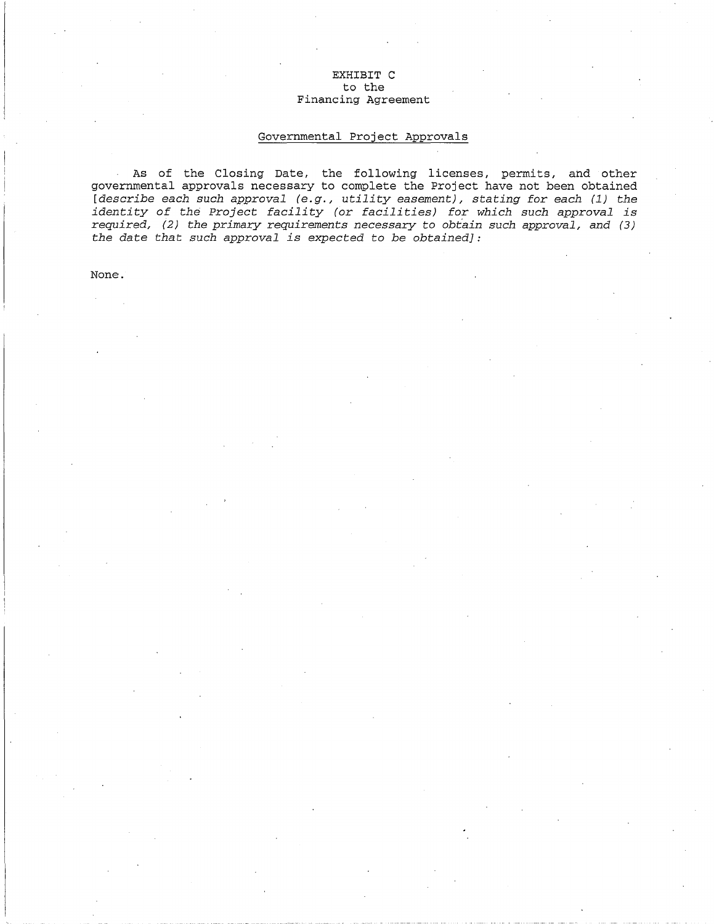# EXHIBIT C to the Financing Agreement

# Governmental Project Approvals

As of the Closing Date, the following licenses, permits, ahd other governmental approvals necessary to complete the Project have not been obtained *[describe each such approval (e.g., utility easement), stating for each (1) the identity of the Project facility (or facilities) for which such approval is required, (2) the primary requirements necessary to obt'ain such approval, and (3) the date that such approval is expected to be obtained]:* 

None.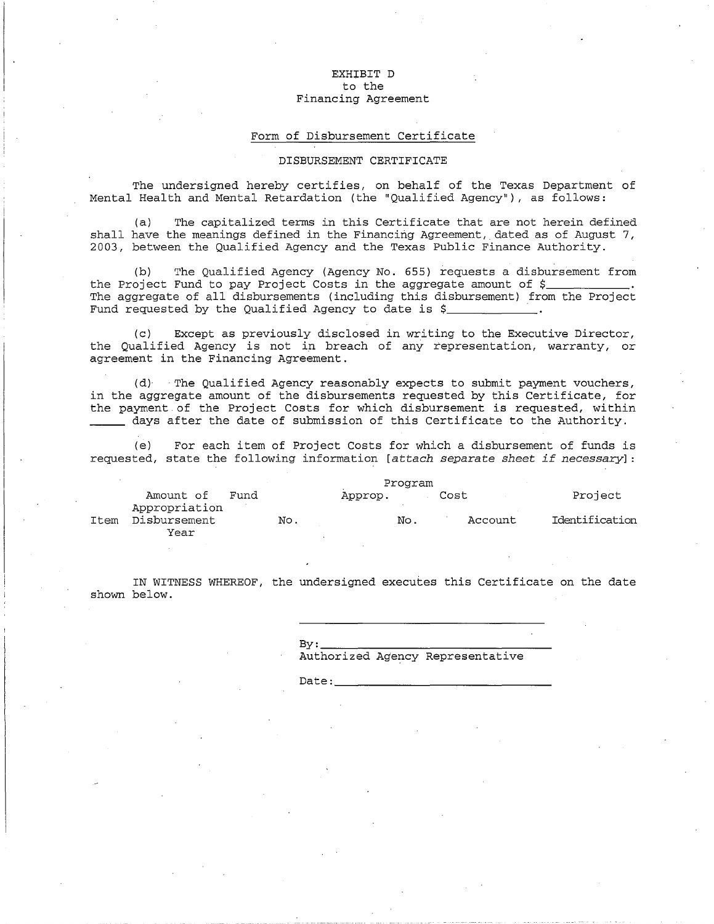### EXHIBIT D to the Financing Agreement

### Form of Disbursement Certificate

### DISBURSEMENT CERTIFICATE

The undersigned hereby certifies, on behalf of the Texas Department of Mental Health and Mental Retardation (the "Qualified Agency"), as follows:

(a) The capitalized terms in this Certificate that are not herein defined shall have the meanings defined in the Financing Agreement, dated as of August 7, 2003, between the Qualified Agency and the Texas Public Finance Authority.

(b) The Qualified Agency (Agency No. 655) requests a disbursement from the Project Fund to pay Project Costs in the aggregate amount of  $\xi$ The aggregate of all disbursements (including this disbursement) from the Project Fund requested by the Qualified Agency to date is  $\zeta$ 

(c) Except as previously disclosed in writing to the Executive Director, the Qualified Agency is not in breach of any representation, warranty, or agreement in the Financing Agreement.

(d)· The Qualified Agency reasonably expects to submit payment vouchers, in the aggregate amount of the disbursements requested by this Certificate, for the payment.of the Project Costs for which disbursement is requested, within days after the date of submission of this Certificate to the Authority.

(e) For each item of Project Costs for which a disbursement of funds is requested, state the following information *[attach separate sheet if necessary*]:

|      |                            | Program |     |         |     |      |         |                |
|------|----------------------------|---------|-----|---------|-----|------|---------|----------------|
|      | Amount of<br>Appropriation | Fund    |     | Approp. |     | Cost |         | Project        |
| Item | Disbursement<br>Year       |         | No. |         | No. |      | Account | Identification |

IN WITNESS WHEREOF, the undersigned executes this Certificate on the date shown below.

> $B_V:$ Authorized Agency Representative

> $\mathsf{Date:}$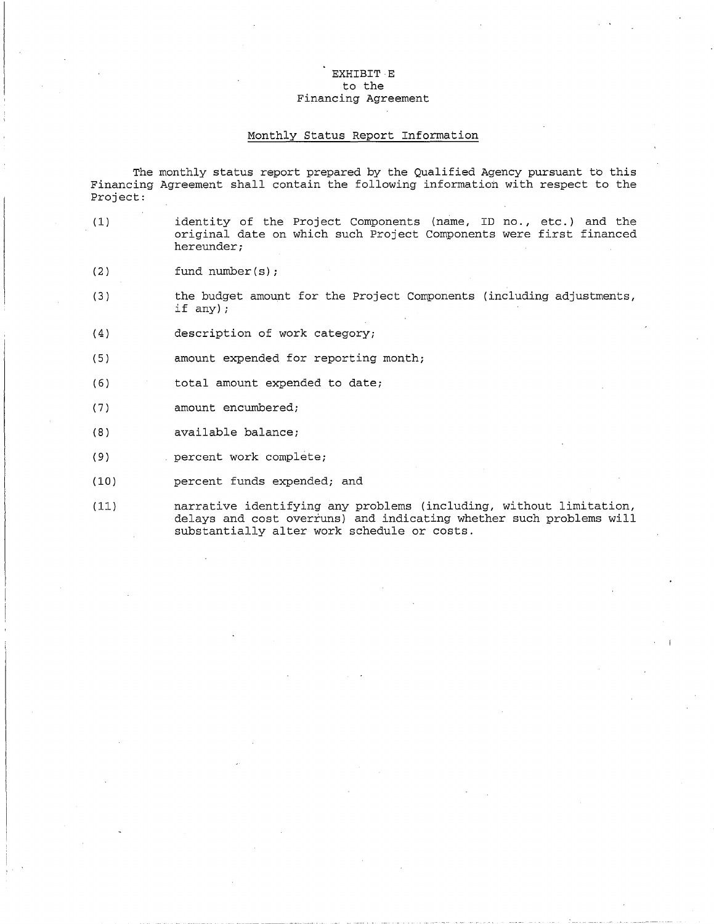# EXHIBIT E to the Financing Agreement

### Monthly Status Report Information

The monthly status report prepared by the Qualified Agency pursuant to this Financing Agreement shall contain the following information with respect to the Project:

- (1) identity of the Project Components (name, ID no., etc.) and the original date on which such Project Components were first financed hereunder;
- (2) fund number(s);
- (3) the budget amount for the Project Components (including adjustments, if any);
- (4) description of work category;
- $(5)$ amount expended for reporting month;
- (6) total amount expended to date;
- $(7)$ amount encumbered;
- (8) available balance;
- $(9)$ percent work complete;
- (10) percent funds expended; and
- (11) narrative identifying any problems (including, without limitation, delays and cost overruns) and indicating whether such problems will substantially alter work schedule or costs.